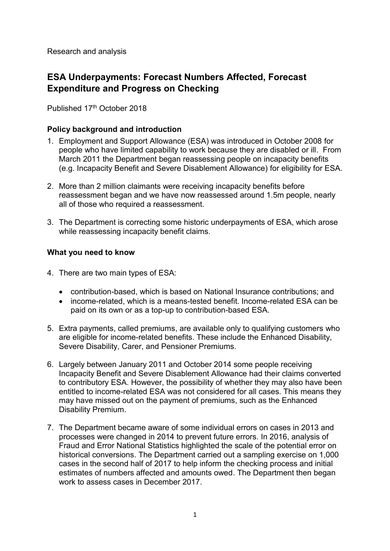Research and analysis

# **ESA Underpayments: Forecast Numbers Affected, Forecast Expenditure and Progress on Checking**

Published 17th October 2018

## **Policy background and introduction**

- 1. Employment and Support Allowance (ESA) was introduced in October 2008 for people who have limited capability to work because they are disabled or ill. From March 2011 the Department began reassessing people on incapacity benefits (e.g. Incapacity Benefit and Severe Disablement Allowance) for eligibility for ESA.
- 2. More than 2 million claimants were receiving incapacity benefits before reassessment began and we have now reassessed around 1.5m people, nearly all of those who required a reassessment.
- 3. The Department is correcting some historic underpayments of ESA, which arose while reassessing incapacity benefit claims.

### **What you need to know**

- 4. There are two main types of ESA:
	- contribution-based, which is based on National Insurance contributions; and
	- income-related, which is a means-tested benefit. Income-related ESA can be paid on its own or as a top-up to contribution-based ESA.
- 5. Extra payments, called premiums, are available only to qualifying customers who are eligible for income-related benefits. These include the Enhanced Disability, Severe Disability, Carer, and Pensioner Premiums.
- 6. Largely between January 2011 and October 2014 some people receiving Incapacity Benefit and Severe Disablement Allowance had their claims converted to contributory ESA. However, the possibility of whether they may also have been entitled to income-related ESA was not considered for all cases. This means they may have missed out on the payment of premiums, such as the Enhanced Disability Premium.
- 7. The Department became aware of some individual errors on cases in 2013 and processes were changed in 2014 to prevent future errors. In 2016, analysis of Fraud and Error National Statistics highlighted the scale of the potential error on historical conversions. The Department carried out a sampling exercise on 1,000 cases in the second half of 2017 to help inform the checking process and initial estimates of numbers affected and amounts owed. The Department then began work to assess cases in December 2017.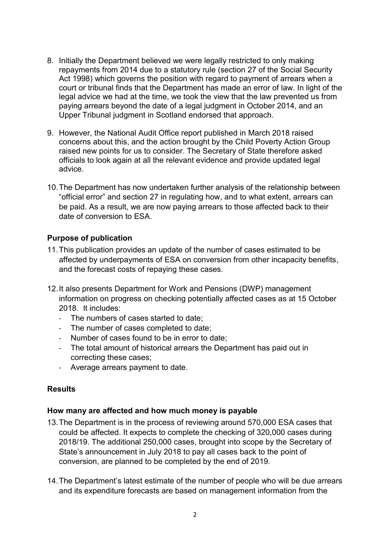- 8. Initially the Department believed we were legally restricted to only making repayments from 2014 due to a statutory rule (section 27 of the Social Security Act 1998) which governs the position with regard to payment of arrears when a court or tribunal finds that the Department has made an error of law. In light of the legal advice we had at the time, we took the view that the law prevented us from paying arrears beyond the date of a legal judgment in October 2014, and an Upper Tribunal judgment in Scotland endorsed that approach.
- 9. However, the National Audit Office report published in March 2018 raised concerns about this, and the action brought by the Child Poverty Action Group raised new points for us to consider. The Secretary of State therefore asked officials to look again at all the relevant evidence and provide updated legal advice.
- 10.The Department has now undertaken further analysis of the relationship between "official error" and section 27 in regulating how, and to what extent, arrears can be paid. As a result, we are now paying arrears to those affected back to their date of conversion to ESA.

## **Purpose of publication**

- 11.This publication provides an update of the number of cases estimated to be affected by underpayments of ESA on conversion from other incapacity benefits, and the forecast costs of repaying these cases.
- 12.It also presents Department for Work and Pensions (DWP) management information on progress on checking potentially affected cases as at 15 October 2018. It includes:
	- The numbers of cases started to date;
	- The number of cases completed to date;
	- Number of cases found to be in error to date;
	- The total amount of historical arrears the Department has paid out in correcting these cases;
	- Average arrears payment to date.

## **Results**

#### **How many are affected and how much money is payable**

- 13.The Department is in the process of reviewing around 570,000 ESA cases that could be affected. It expects to complete the checking of 320,000 cases during 2018/19. The additional 250,000 cases, brought into scope by the Secretary of State's announcement in July 2018 to pay all cases back to the point of conversion, are planned to be completed by the end of 2019.
- 14.The Department's latest estimate of the number of people who will be due arrears and its expenditure forecasts are based on management information from the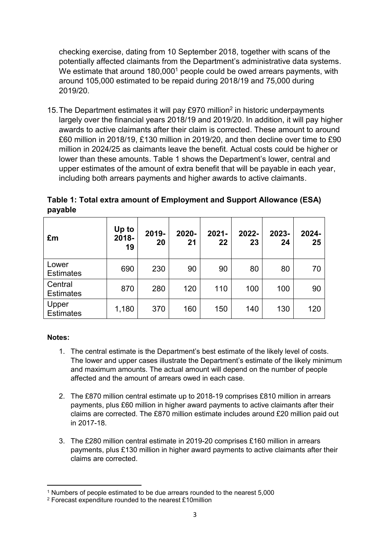checking exercise, dating from 10 September 2018, together with scans of the potentially affected claimants from the Department's administrative data systems. We estimate that around 180,000<sup>1</sup> people could be owed arrears payments, with around 105,000 estimated to be repaid during 2018/19 and 75,000 during 2019/20.

15. The Department estimates it will pay £970 million<sup>2</sup> in historic underpayments largely over the financial years 2018/19 and 2019/20. In addition, it will pay higher awards to active claimants after their claim is corrected. These amount to around £60 million in 2018/19, £130 million in 2019/20, and then decline over time to £90 million in 2024/25 as claimants leave the benefit. Actual costs could be higher or lower than these amounts. Table 1 shows the Department's lower, central and upper estimates of the amount of extra benefit that will be payable in each year, including both arrears payments and higher awards to active claimants.

**Table 1: Total extra amount of Employment and Support Allowance (ESA) payable**

| £m                          | Up to<br>2018-<br>19 | 2019-<br>20 | 2020-<br>21 | $2021 -$<br>22 | 2022-<br>23 | 2023-<br>24 | 2024-<br>25 |
|-----------------------------|----------------------|-------------|-------------|----------------|-------------|-------------|-------------|
| Lower<br><b>Estimates</b>   | 690                  | 230         | 90          | 90             | 80          | 80          | 70          |
| Central<br><b>Estimates</b> | 870                  | 280         | 120         | 110            | 100         | 100         | 90          |
| Upper<br><b>Estimates</b>   | 1,180                | 370         | 160         | 150            | 140         | 130         | 120         |

#### **Notes:**

**.** 

- 1. The central estimate is the Department's best estimate of the likely level of costs. The lower and upper cases illustrate the Department's estimate of the likely minimum and maximum amounts. The actual amount will depend on the number of people affected and the amount of arrears owed in each case.
- 2. The £870 million central estimate up to 2018-19 comprises £810 million in arrears payments, plus £60 million in higher award payments to active claimants after their claims are corrected. The £870 million estimate includes around £20 million paid out in 2017-18.
- 3. The £280 million central estimate in 2019-20 comprises £160 million in arrears payments, plus £130 million in higher award payments to active claimants after their claims are corrected.

<sup>1</sup> Numbers of people estimated to be due arrears rounded to the nearest 5,000

<sup>2</sup> Forecast expenditure rounded to the nearest £10million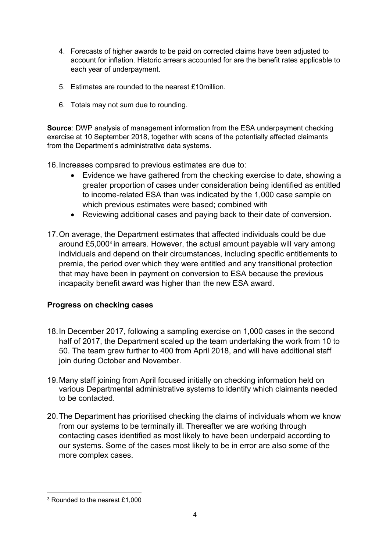- 4. Forecasts of higher awards to be paid on corrected claims have been adjusted to account for inflation. Historic arrears accounted for are the benefit rates applicable to each year of underpayment.
- 5. Estimates are rounded to the nearest £10million.
- 6. Totals may not sum due to rounding.

**Source**: DWP analysis of management information from the ESA underpayment checking exercise at 10 September 2018, together with scans of the potentially affected claimants from the Department's administrative data systems.

16.Increases compared to previous estimates are due to:

- Evidence we have gathered from the checking exercise to date, showing a greater proportion of cases under consideration being identified as entitled to income-related ESA than was indicated by the 1,000 case sample on which previous estimates were based; combined with
- Reviewing additional cases and paying back to their date of conversion.
- 17.On average, the Department estimates that affected individuals could be due around £5,000<sup>3</sup> in arrears. However, the actual amount payable will vary among individuals and depend on their circumstances, including specific entitlements to premia, the period over which they were entitled and any transitional protection that may have been in payment on conversion to ESA because the previous incapacity benefit award was higher than the new ESA award.

## **Progress on checking cases**

- 18.In December 2017, following a sampling exercise on 1,000 cases in the second half of 2017, the Department scaled up the team undertaking the work from 10 to 50. The team grew further to 400 from April 2018, and will have additional staff join during October and November.
- 19.Many staff joining from April focused initially on checking information held on various Departmental administrative systems to identify which claimants needed to be contacted.
- 20.The Department has prioritised checking the claims of individuals whom we know from our systems to be terminally ill. Thereafter we are working through contacting cases identified as most likely to have been underpaid according to our systems. Some of the cases most likely to be in error are also some of the more complex cases.

**<sup>.</sup>** <sup>3</sup> Rounded to the nearest £1,000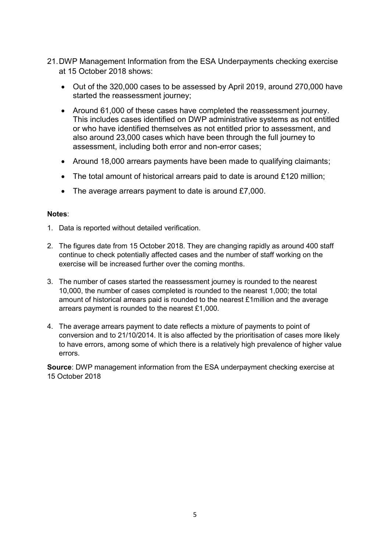- 21.DWP Management Information from the ESA Underpayments checking exercise at 15 October 2018 shows:
	- Out of the 320,000 cases to be assessed by April 2019, around 270,000 have started the reassessment journey;
	- Around 61,000 of these cases have completed the reassessment journey. This includes cases identified on DWP administrative systems as not entitled or who have identified themselves as not entitled prior to assessment, and also around 23,000 cases which have been through the full journey to assessment, including both error and non-error cases;
	- Around 18,000 arrears payments have been made to qualifying claimants;
	- The total amount of historical arrears paid to date is around £120 million;
	- The average arrears payment to date is around £7,000.

#### **Notes**:

- 1. Data is reported without detailed verification.
- 2. The figures date from 15 October 2018. They are changing rapidly as around 400 staff continue to check potentially affected cases and the number of staff working on the exercise will be increased further over the coming months.
- 3. The number of cases started the reassessment journey is rounded to the nearest 10,000, the number of cases completed is rounded to the nearest 1,000; the total amount of historical arrears paid is rounded to the nearest £1million and the average arrears payment is rounded to the nearest £1,000.
- 4. The average arrears payment to date reflects a mixture of payments to point of conversion and to 21/10/2014. It is also affected by the prioritisation of cases more likely to have errors, among some of which there is a relatively high prevalence of higher value errors.

**Source**: DWP management information from the ESA underpayment checking exercise at 15 October 2018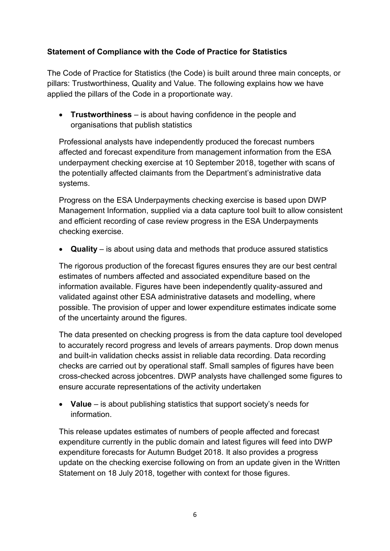## **Statement of Compliance with the Code of Practice for Statistics**

The Code of Practice for Statistics (the Code) is built around three main concepts, or pillars: Trustworthiness, Quality and Value. The following explains how we have applied the pillars of the Code in a proportionate way.

 **Trustworthiness** – is about having confidence in the people and organisations that publish statistics

Professional analysts have independently produced the forecast numbers affected and forecast expenditure from management information from the ESA underpayment checking exercise at 10 September 2018, together with scans of the potentially affected claimants from the Department's administrative data systems.

Progress on the ESA Underpayments checking exercise is based upon DWP Management Information, supplied via a data capture tool built to allow consistent and efficient recording of case review progress in the ESA Underpayments checking exercise.

**Quality** – is about using data and methods that produce assured statistics

The rigorous production of the forecast figures ensures they are our best central estimates of numbers affected and associated expenditure based on the information available. Figures have been independently quality-assured and validated against other ESA administrative datasets and modelling, where possible. The provision of upper and lower expenditure estimates indicate some of the uncertainty around the figures.

The data presented on checking progress is from the data capture tool developed to accurately record progress and levels of arrears payments. Drop down menus and built-in validation checks assist in reliable data recording. Data recording checks are carried out by operational staff. Small samples of figures have been cross-checked across jobcentres. DWP analysts have challenged some figures to ensure accurate representations of the activity undertaken

 **Value** – is about publishing statistics that support society's needs for information.

This release updates estimates of numbers of people affected and forecast expenditure currently in the public domain and latest figures will feed into DWP expenditure forecasts for Autumn Budget 2018. It also provides a progress update on the checking exercise following on from an update given in the Written Statement on 18 July 2018, together with context for those figures.